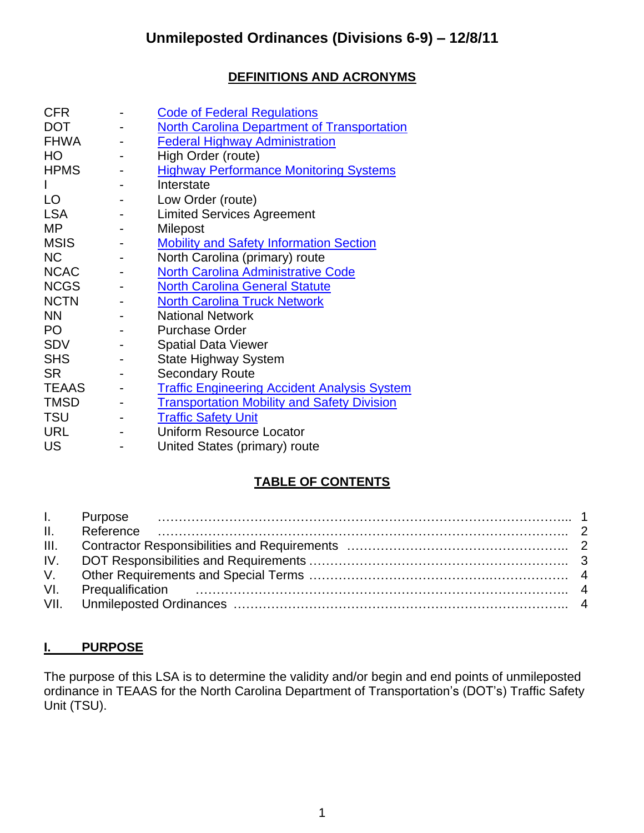## **DEFINITIONS AND ACRONYMS**

| <b>CFR</b>   | <b>Code of Federal Regulations</b>                  |
|--------------|-----------------------------------------------------|
| <b>DOT</b>   | <b>North Carolina Department of Transportation</b>  |
| <b>FHWA</b>  | <b>Federal Highway Administration</b>               |
| HO           | High Order (route)                                  |
| <b>HPMS</b>  | <b>Highway Performance Monitoring Systems</b>       |
|              | Interstate                                          |
| LO           | Low Order (route)                                   |
| <b>LSA</b>   | <b>Limited Services Agreement</b>                   |
| MP           | Milepost                                            |
| <b>MSIS</b>  | <b>Mobility and Safety Information Section</b>      |
| <b>NC</b>    | North Carolina (primary) route                      |
| <b>NCAC</b>  | <b>North Carolina Administrative Code</b>           |
| <b>NCGS</b>  | <b>North Carolina General Statute</b>               |
| <b>NCTN</b>  | <b>North Carolina Truck Network</b>                 |
| <b>NN</b>    | <b>National Network</b>                             |
| PO           | <b>Purchase Order</b>                               |
| <b>SDV</b>   | <b>Spatial Data Viewer</b>                          |
| <b>SHS</b>   | <b>State Highway System</b>                         |
| <b>SR</b>    | <b>Secondary Route</b>                              |
| <b>TEAAS</b> | <b>Traffic Engineering Accident Analysis System</b> |
| <b>TMSD</b>  | <b>Transportation Mobility and Safety Division</b>  |
| <b>TSU</b>   | <b>Traffic Safety Unit</b>                          |
| <b>URL</b>   | <b>Uniform Resource Locator</b>                     |
| <b>US</b>    | United States (primary) route                       |

## **TABLE OF CONTENTS**

### **I. PURPOSE**

The purpose of this LSA is to determine the validity and/or begin and end points of unmileposted ordinance in TEAAS for the North Carolina Department of Transportation's (DOT's) Traffic Safety Unit (TSU).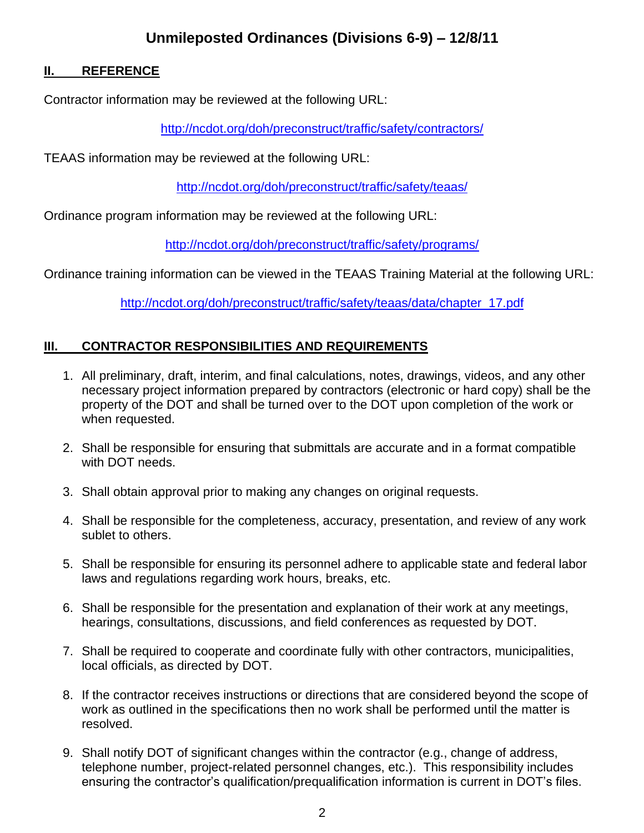# **Unmileposted Ordinances (Divisions 6-9) – 12/8/11**

#### **II. REFERENCE**

Contractor information may be reviewed at the following URL:

<http://ncdot.org/doh/preconstruct/traffic/safety/contractors/>

TEAAS information may be reviewed at the following URL:

<http://ncdot.org/doh/preconstruct/traffic/safety/teaas/>

Ordinance program information may be reviewed at the following URL:

<http://ncdot.org/doh/preconstruct/traffic/safety/programs/>

Ordinance training information can be viewed in the TEAAS Training Material at the following URL:

[http://ncdot.org/doh/preconstruct/traffic/safety/teaas/data/chapter\\_17.pdf](http://ncdot.org/doh/preconstruct/traffic/safety/teaas/data/chapter_17.pdf)

#### **III. CONTRACTOR RESPONSIBILITIES AND REQUIREMENTS**

- 1. All preliminary, draft, interim, and final calculations, notes, drawings, videos, and any other necessary project information prepared by contractors (electronic or hard copy) shall be the property of the DOT and shall be turned over to the DOT upon completion of the work or when requested.
- 2. Shall be responsible for ensuring that submittals are accurate and in a format compatible with DOT needs.
- 3. Shall obtain approval prior to making any changes on original requests.
- 4. Shall be responsible for the completeness, accuracy, presentation, and review of any work sublet to others.
- 5. Shall be responsible for ensuring its personnel adhere to applicable state and federal labor laws and regulations regarding work hours, breaks, etc.
- 6. Shall be responsible for the presentation and explanation of their work at any meetings, hearings, consultations, discussions, and field conferences as requested by DOT.
- 7. Shall be required to cooperate and coordinate fully with other contractors, municipalities, local officials, as directed by DOT.
- 8. If the contractor receives instructions or directions that are considered beyond the scope of work as outlined in the specifications then no work shall be performed until the matter is resolved.
- 9. Shall notify DOT of significant changes within the contractor (e.g., change of address, telephone number, project-related personnel changes, etc.). This responsibility includes ensuring the contractor's qualification/prequalification information is current in DOT's files.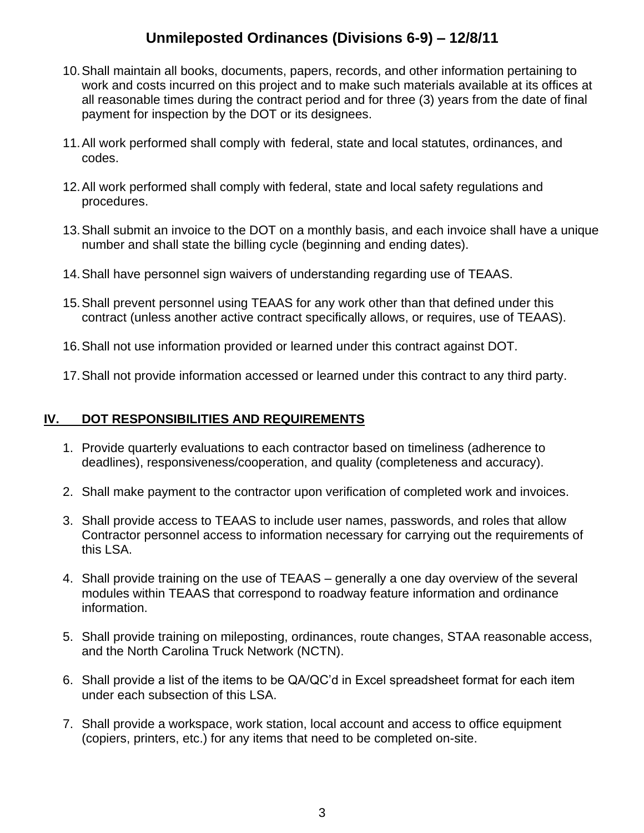# **Unmileposted Ordinances (Divisions 6-9) – 12/8/11**

- 10.Shall maintain all books, documents, papers, records, and other information pertaining to work and costs incurred on this project and to make such materials available at its offices at all reasonable times during the contract period and for three (3) years from the date of final payment for inspection by the DOT or its designees.
- 11.All work performed shall comply with federal, state and local statutes, ordinances, and codes.
- 12.All work performed shall comply with federal, state and local safety regulations and procedures.
- 13.Shall submit an invoice to the DOT on a monthly basis, and each invoice shall have a unique number and shall state the billing cycle (beginning and ending dates).
- 14.Shall have personnel sign waivers of understanding regarding use of TEAAS.
- 15.Shall prevent personnel using TEAAS for any work other than that defined under this contract (unless another active contract specifically allows, or requires, use of TEAAS).
- 16.Shall not use information provided or learned under this contract against DOT.
- 17.Shall not provide information accessed or learned under this contract to any third party.

#### **IV. DOT RESPONSIBILITIES AND REQUIREMENTS**

- 1. Provide quarterly evaluations to each contractor based on timeliness (adherence to deadlines), responsiveness/cooperation, and quality (completeness and accuracy).
- 2. Shall make payment to the contractor upon verification of completed work and invoices.
- 3. Shall provide access to TEAAS to include user names, passwords, and roles that allow Contractor personnel access to information necessary for carrying out the requirements of this LSA.
- 4. Shall provide training on the use of TEAAS generally a one day overview of the several modules within TEAAS that correspond to roadway feature information and ordinance information.
- 5. Shall provide training on mileposting, ordinances, route changes, STAA reasonable access, and the North Carolina Truck Network (NCTN).
- 6. Shall provide a list of the items to be QA/QC'd in Excel spreadsheet format for each item under each subsection of this LSA.
- 7. Shall provide a workspace, work station, local account and access to office equipment (copiers, printers, etc.) for any items that need to be completed on-site.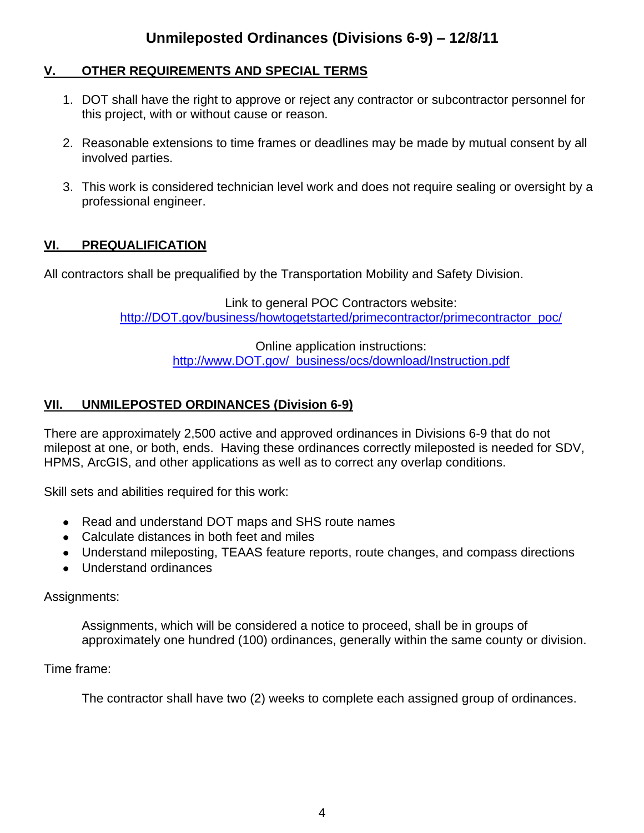#### **V. OTHER REQUIREMENTS AND SPECIAL TERMS**

- 1. DOT shall have the right to approve or reject any contractor or subcontractor personnel for this project, with or without cause or reason.
- 2. Reasonable extensions to time frames or deadlines may be made by mutual consent by all involved parties.
- 3. This work is considered technician level work and does not require sealing or oversight by a professional engineer.

### **VI. PREQUALIFICATION**

All contractors shall be prequalified by the Transportation Mobility and Safety Division.

Link to general POC Contractors website: [http://DOT.gov/business/howtogetstarted/primecontractor/primecontractor\\_poc/](http://ncdot.gov/business/howtogetstarted/primecontractor/primecontractor_poc/)

> Online application instructions: [http://www.DOT.gov/ business/ocs/download/Instruction.pdf](http://www.ncdot.gov/business/ocs/download/Instruction.pdf)

### **VII. UNMILEPOSTED ORDINANCES (Division 6-9)**

There are approximately 2,500 active and approved ordinances in Divisions 6-9 that do not milepost at one, or both, ends. Having these ordinances correctly mileposted is needed for SDV, HPMS, ArcGIS, and other applications as well as to correct any overlap conditions.

Skill sets and abilities required for this work:

- Read and understand DOT maps and SHS route names
- Calculate distances in both feet and miles
- Understand mileposting, TEAAS feature reports, route changes, and compass directions
- Understand ordinances

#### Assignments:

Assignments, which will be considered a notice to proceed, shall be in groups of approximately one hundred (100) ordinances, generally within the same county or division.

#### Time frame:

The contractor shall have two (2) weeks to complete each assigned group of ordinances.